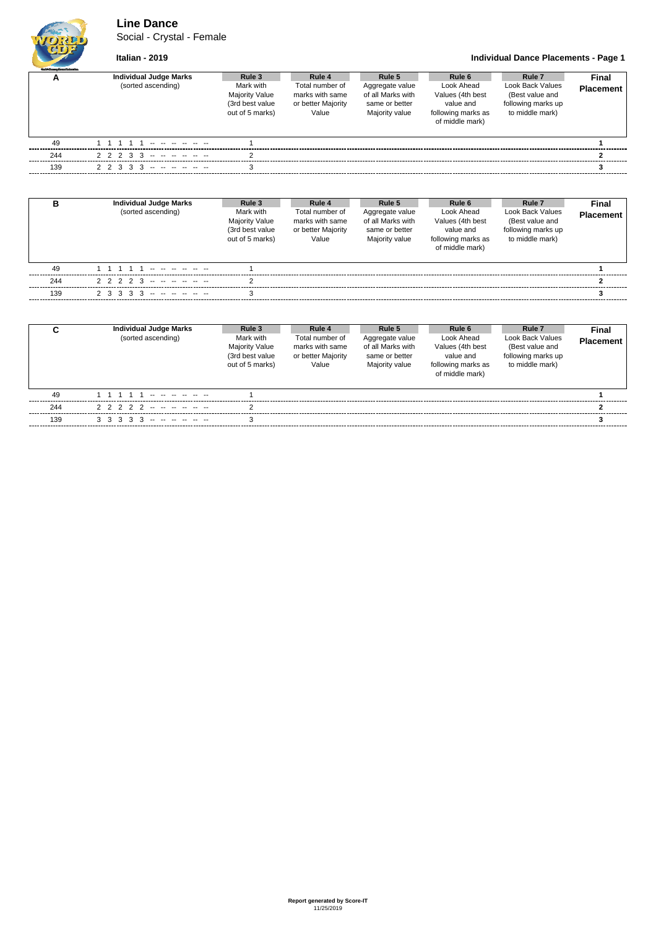### **Line Dance**

Social - Crystal - Female



#### **Italian - 2019 Individual Dance Placements - Page 1**

| <b>Guild Gauge Daves Adventise</b> |                                                     |                                                                 |                                                                    |                                                                  |                                                       |                                                                                |                                  |
|------------------------------------|-----------------------------------------------------|-----------------------------------------------------------------|--------------------------------------------------------------------|------------------------------------------------------------------|-------------------------------------------------------|--------------------------------------------------------------------------------|----------------------------------|
| A                                  | <b>Individual Judge Marks</b><br>(sorted ascending) | Rule 3<br>Mark with<br><b>Majority Value</b><br>(3rd best value | Rule 4<br>Total number of<br>marks with same<br>or better Majority | Rule 5<br>Aggregate value<br>of all Marks with<br>same or better | Rule 6<br>Look Ahead<br>Values (4th best<br>value and | Rule <sub>7</sub><br>Look Back Values<br>(Best value and<br>following marks up | <b>Final</b><br><b>Placement</b> |
|                                    |                                                     | out of 5 marks)                                                 | Value                                                              | Majority value                                                   | following marks as<br>of middle mark)                 | to middle mark)                                                                |                                  |
| 49                                 |                                                     |                                                                 |                                                                    |                                                                  |                                                       |                                                                                |                                  |
| 244                                | $2$ 2 2 3 3 -- -- -- -- -- --                       |                                                                 |                                                                    |                                                                  |                                                       |                                                                                |                                  |
| 139                                | $2$ 2 3 3 3 - - - - - - -                           |                                                                 |                                                                    |                                                                  |                                                       |                                                                                |                                  |

| в   | <b>Individual Judge Marks</b><br>(sorted ascending) | Rule 3<br>Mark with<br><b>Majority Value</b><br>(3rd best value<br>out of 5 marks) | Rule 4<br>Total number of<br>marks with same<br>or better Majority<br>Value | Rule 5<br>Aggregate value<br>of all Marks with<br>same or better<br>Majority value | Rule 6<br>Look Ahead<br>Values (4th best<br>value and<br>following marks as<br>of middle mark) | Rule <sub>7</sub><br>Look Back Values<br>(Best value and<br>following marks up<br>to middle mark) | Final<br><b>Placement</b> |
|-----|-----------------------------------------------------|------------------------------------------------------------------------------------|-----------------------------------------------------------------------------|------------------------------------------------------------------------------------|------------------------------------------------------------------------------------------------|---------------------------------------------------------------------------------------------------|---------------------------|
| 49  | 11111                                               |                                                                                    |                                                                             |                                                                                    |                                                                                                |                                                                                                   |                           |
| 244 | 2 2 2 2 3 -- - - - - -                              |                                                                                    |                                                                             |                                                                                    |                                                                                                |                                                                                                   |                           |
| 139 | $2$ 3 3 3 3 - - - - - - -                           |                                                                                    |                                                                             |                                                                                    |                                                                                                |                                                                                                   |                           |

| <b>Placement</b><br>Values (4th best<br>(Best value and<br><b>Majority Value</b><br>of all Marks with<br>marks with same<br>following marks up<br>(3rd best value<br>or better Majority<br>value and<br>same or better<br>following marks as<br>to middle mark)<br>out of 5 marks)<br>Majority value<br>Value<br>of middle mark) |  |
|----------------------------------------------------------------------------------------------------------------------------------------------------------------------------------------------------------------------------------------------------------------------------------------------------------------------------------|--|
| 49                                                                                                                                                                                                                                                                                                                               |  |
| 2 2 2 2 3 4 5 <del>4 5 6 7 8 7 8 7 8 7 8 7 8 7 8 7 8 7 8 7</del><br>244                                                                                                                                                                                                                                                          |  |
| $3$ 3 3 3 3 - - - - - - -<br>139<br>з                                                                                                                                                                                                                                                                                            |  |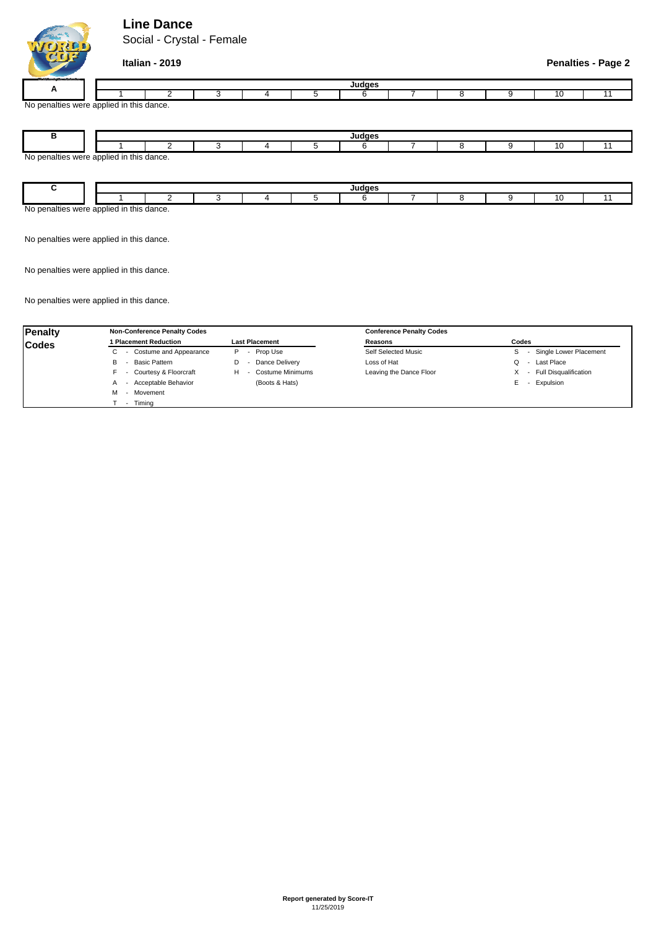## **Line Dance**

Social - Crystal - Female



**Italian - 2019 Penalties - Page 2**

No penalties were applied in this dance. **<sup>A</sup>** 2 3 <sup>11</sup> **Judges** 4 | 5 | 6 | 7 | 8 | 9 1 | 2 | 3 | 4 | 5 | 6 | 7 | 8 | 9 | 10

|                                          |  | ، مەمل |  |  |  |  |  |  |  |  |  |  |
|------------------------------------------|--|--------|--|--|--|--|--|--|--|--|--|--|
|                                          |  |        |  |  |  |  |  |  |  |  |  |  |
| No penalties were applied in this dance. |  |        |  |  |  |  |  |  |  |  |  |  |
|                                          |  |        |  |  |  |  |  |  |  |  |  |  |
|                                          |  |        |  |  |  |  |  |  |  |  |  |  |

|                                                                 |  | -- |  |  |  |  |  |  |  |  |  |  |
|-----------------------------------------------------------------|--|----|--|--|--|--|--|--|--|--|--|--|
|                                                                 |  |    |  |  |  |  |  |  |  |  |  |  |
| . .<br>$\sim$<br>nline<br>this<br>Nr<br>$\sim$<br>uance.<br>YU. |  |    |  |  |  |  |  |  |  |  |  |  |

No penalties were applied in this dance.

No penalties were applied in this dance.

No penalties were applied in this dance.

| <b>Penalty</b> | <b>Non-Conference Penalty Codes</b> |                              | <b>Conference Penalty Codes</b> |                                        |
|----------------|-------------------------------------|------------------------------|---------------------------------|----------------------------------------|
| <b>Codes</b>   | 1 Placement Reduction               | <b>Last Placement</b>        | Reasons                         | Codes                                  |
|                | - Costume and Appearance<br>U       | Prop Use<br>P<br>$\sim$      | Self Selected Music             | Single Lower Placement<br>$\sim$       |
|                | Basic Pattern<br>В                  | Dance Delivery               | Loss of Hat                     | Last Place<br>Q                        |
|                | - Courtesy & Floorcraft             | <b>Costume Minimums</b><br>н | Leaving the Dance Floor         | <b>Full Disqualification</b><br>$\sim$ |
|                | - Acceptable Behavior<br>A          | (Boots & Hats)               |                                 | Expulsion<br>E.                        |
|                | - Movement                          |                              |                                 |                                        |
|                | Timina                              |                              |                                 |                                        |